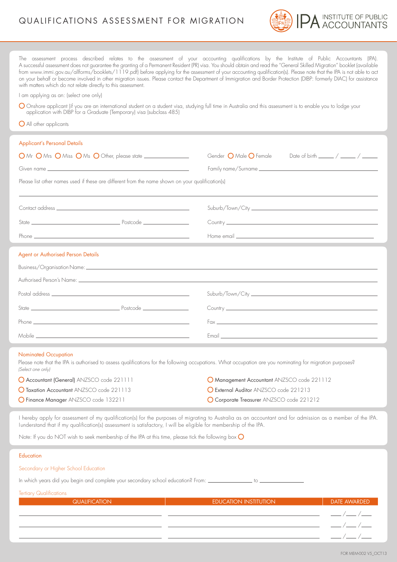| QUALIFICATIONS ASSESSMENT FOR MIGRATION |  |  |
|-----------------------------------------|--|--|
|-----------------------------------------|--|--|



| with matters which do not relate directly to this assessment.<br>I am applying as an: (select one only)<br>application with DIBP for a Graduate (Temporary) visa (subclass 485)                                                                                                  | The assessment process described relates to the assessment of your accounting qualifications by the Institute of Public Accountants (IPA).<br>A successful assessment does not guarantee the granting of a Permanent Resident (PR) visa. You should obtain and read the "General Skilled Migration" booklet (available<br>from www.immi.gov.au/allforms/booklets/1119.pdf) before applying for the assessment of your accounting qualification(s). Please note that the IPA is not able to act<br>on your behalf or become involved in other migration issues. Please contact the Department of Immigration and Border Protection (DIBP: formerly DIAC) for assistance<br>O Onshore applicant (if you are an international student on a student visa, studying full time in Australia and this assessment is to enable you to lodge your |  |  |
|----------------------------------------------------------------------------------------------------------------------------------------------------------------------------------------------------------------------------------------------------------------------------------|------------------------------------------------------------------------------------------------------------------------------------------------------------------------------------------------------------------------------------------------------------------------------------------------------------------------------------------------------------------------------------------------------------------------------------------------------------------------------------------------------------------------------------------------------------------------------------------------------------------------------------------------------------------------------------------------------------------------------------------------------------------------------------------------------------------------------------------|--|--|
| O All other applicants                                                                                                                                                                                                                                                           |                                                                                                                                                                                                                                                                                                                                                                                                                                                                                                                                                                                                                                                                                                                                                                                                                                          |  |  |
| <b>Applicant's Personal Details</b>                                                                                                                                                                                                                                              |                                                                                                                                                                                                                                                                                                                                                                                                                                                                                                                                                                                                                                                                                                                                                                                                                                          |  |  |
| O Mr O Mrs O Miss O Ms O Other, please state _________________                                                                                                                                                                                                                   | Date of birth $\frac{1}{2}$ / $\frac{1}{2}$ / $\frac{1}{2}$<br>Gender <b>O</b> Male <b>O</b> Female                                                                                                                                                                                                                                                                                                                                                                                                                                                                                                                                                                                                                                                                                                                                      |  |  |
|                                                                                                                                                                                                                                                                                  | Family name/Surname                                                                                                                                                                                                                                                                                                                                                                                                                                                                                                                                                                                                                                                                                                                                                                                                                      |  |  |
| Please list other names used if these are different from the name shown on your qualification(s)                                                                                                                                                                                 |                                                                                                                                                                                                                                                                                                                                                                                                                                                                                                                                                                                                                                                                                                                                                                                                                                          |  |  |
|                                                                                                                                                                                                                                                                                  |                                                                                                                                                                                                                                                                                                                                                                                                                                                                                                                                                                                                                                                                                                                                                                                                                                          |  |  |
|                                                                                                                                                                                                                                                                                  |                                                                                                                                                                                                                                                                                                                                                                                                                                                                                                                                                                                                                                                                                                                                                                                                                                          |  |  |
|                                                                                                                                                                                                                                                                                  |                                                                                                                                                                                                                                                                                                                                                                                                                                                                                                                                                                                                                                                                                                                                                                                                                                          |  |  |
|                                                                                                                                                                                                                                                                                  |                                                                                                                                                                                                                                                                                                                                                                                                                                                                                                                                                                                                                                                                                                                                                                                                                                          |  |  |
| <b>Agent or Authorised Person Details</b>                                                                                                                                                                                                                                        |                                                                                                                                                                                                                                                                                                                                                                                                                                                                                                                                                                                                                                                                                                                                                                                                                                          |  |  |
|                                                                                                                                                                                                                                                                                  |                                                                                                                                                                                                                                                                                                                                                                                                                                                                                                                                                                                                                                                                                                                                                                                                                                          |  |  |
|                                                                                                                                                                                                                                                                                  |                                                                                                                                                                                                                                                                                                                                                                                                                                                                                                                                                                                                                                                                                                                                                                                                                                          |  |  |
|                                                                                                                                                                                                                                                                                  |                                                                                                                                                                                                                                                                                                                                                                                                                                                                                                                                                                                                                                                                                                                                                                                                                                          |  |  |
|                                                                                                                                                                                                                                                                                  |                                                                                                                                                                                                                                                                                                                                                                                                                                                                                                                                                                                                                                                                                                                                                                                                                                          |  |  |
|                                                                                                                                                                                                                                                                                  |                                                                                                                                                                                                                                                                                                                                                                                                                                                                                                                                                                                                                                                                                                                                                                                                                                          |  |  |
| Mobile <b>Mobile</b>                                                                                                                                                                                                                                                             | Email <u>and the community of the community of the community of the community of the community of the community of the community of the community of the community of the community of the community of the community of the com</u>                                                                                                                                                                                                                                                                                                                                                                                                                                                                                                                                                                                                     |  |  |
|                                                                                                                                                                                                                                                                                  |                                                                                                                                                                                                                                                                                                                                                                                                                                                                                                                                                                                                                                                                                                                                                                                                                                          |  |  |
| Nominated Occupation<br>Please note that the IPA is authorised to assess qualifications for the following occupations. What occupation are you nominating for migration purposes?<br>(Select one only)                                                                           |                                                                                                                                                                                                                                                                                                                                                                                                                                                                                                                                                                                                                                                                                                                                                                                                                                          |  |  |
| O Accountant (General) ANZSCO code 221111                                                                                                                                                                                                                                        | O Management Accountant ANZSCO code 221112                                                                                                                                                                                                                                                                                                                                                                                                                                                                                                                                                                                                                                                                                                                                                                                               |  |  |
| <b>O Taxation Accountant ANZSCO code 221113</b>                                                                                                                                                                                                                                  | O External Auditor ANZSCO code 221213                                                                                                                                                                                                                                                                                                                                                                                                                                                                                                                                                                                                                                                                                                                                                                                                    |  |  |
| O Finance Manager ANZSCO code 132211                                                                                                                                                                                                                                             | O Corporate Treasurer ANZSCO code 221212                                                                                                                                                                                                                                                                                                                                                                                                                                                                                                                                                                                                                                                                                                                                                                                                 |  |  |
| I hereby apply for assessment of my qualification(s) for the purposes of migrating to Australia as an accountant and for admission as a member of the IPA.<br>I understand that if my qualification(s) assessment is satisfactory, I will be eligible for membership of the IPA. |                                                                                                                                                                                                                                                                                                                                                                                                                                                                                                                                                                                                                                                                                                                                                                                                                                          |  |  |
| Note: If you do NOT wish to seek membership of the IPA at this time, please tick the following box $\bigcirc$                                                                                                                                                                    |                                                                                                                                                                                                                                                                                                                                                                                                                                                                                                                                                                                                                                                                                                                                                                                                                                          |  |  |
| <b>Education</b>                                                                                                                                                                                                                                                                 |                                                                                                                                                                                                                                                                                                                                                                                                                                                                                                                                                                                                                                                                                                                                                                                                                                          |  |  |
| Secondary or Higher School Education                                                                                                                                                                                                                                             |                                                                                                                                                                                                                                                                                                                                                                                                                                                                                                                                                                                                                                                                                                                                                                                                                                          |  |  |
| In which years did you begin and complete your secondary school education? From: __________________ to ______________                                                                                                                                                            |                                                                                                                                                                                                                                                                                                                                                                                                                                                                                                                                                                                                                                                                                                                                                                                                                                          |  |  |
| <b>Tertiary Qualifications</b>                                                                                                                                                                                                                                                   |                                                                                                                                                                                                                                                                                                                                                                                                                                                                                                                                                                                                                                                                                                                                                                                                                                          |  |  |
| <b>QUALIFICATION</b>                                                                                                                                                                                                                                                             | <b>EDUCATION INSTITUTION</b><br><b>DATE AWARDED</b>                                                                                                                                                                                                                                                                                                                                                                                                                                                                                                                                                                                                                                                                                                                                                                                      |  |  |
|                                                                                                                                                                                                                                                                                  |                                                                                                                                                                                                                                                                                                                                                                                                                                                                                                                                                                                                                                                                                                                                                                                                                                          |  |  |
|                                                                                                                                                                                                                                                                                  | $\frac{\frac{1}{2}}{2}$                                                                                                                                                                                                                                                                                                                                                                                                                                                                                                                                                                                                                                                                                                                                                                                                                  |  |  |
|                                                                                                                                                                                                                                                                                  |                                                                                                                                                                                                                                                                                                                                                                                                                                                                                                                                                                                                                                                                                                                                                                                                                                          |  |  |